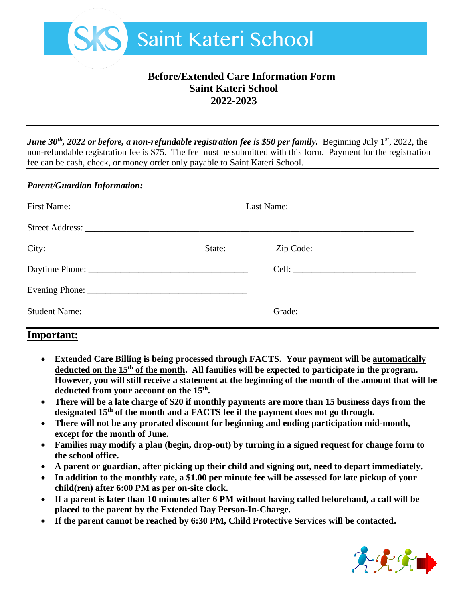

# **Before/Extended Care Information Form Saint Kateri School 2022-2023**

*June 30<sup>th</sup>*, 2022 *or before, a non-refundable registration fee is \$50 per family.* Beginning July 1<sup>st</sup>, 2022, the non-refundable registration fee is \$75. The fee must be submitted with this form. Payment for the registration fee can be cash, check, or money order only payable to Saint Kateri School.

#### *Parent/Guardian Information:*

### **Important:**

- **Extended Care Billing is being processed through FACTS. Your payment will be automatically deducted on the 15th of the month. All families will be expected to participate in the program. However, you will still receive a statement at the beginning of the month of the amount that will be deducted from your account on the 15th .**
- **There will be a late charge of \$20 if monthly payments are more than 15 business days from the designated 15th of the month and a FACTS fee if the payment does not go through.**
- **There will not be any prorated discount for beginning and ending participation mid-month, except for the month of June.**
- **Families may modify a plan (begin, drop-out) by turning in a signed request for change form to the school office.**
- **A parent or guardian, after picking up their child and signing out, need to depart immediately.**
- **In addition to the monthly rate, a \$1.00 per minute fee will be assessed for late pickup of your child(ren) after 6:00 PM as per on-site clock.**
- **If a parent is later than 10 minutes after 6 PM without having called beforehand, a call will be placed to the parent by the Extended Day Person-In-Charge.**
- **If the parent cannot be reached by 6:30 PM, Child Protective Services will be contacted.**